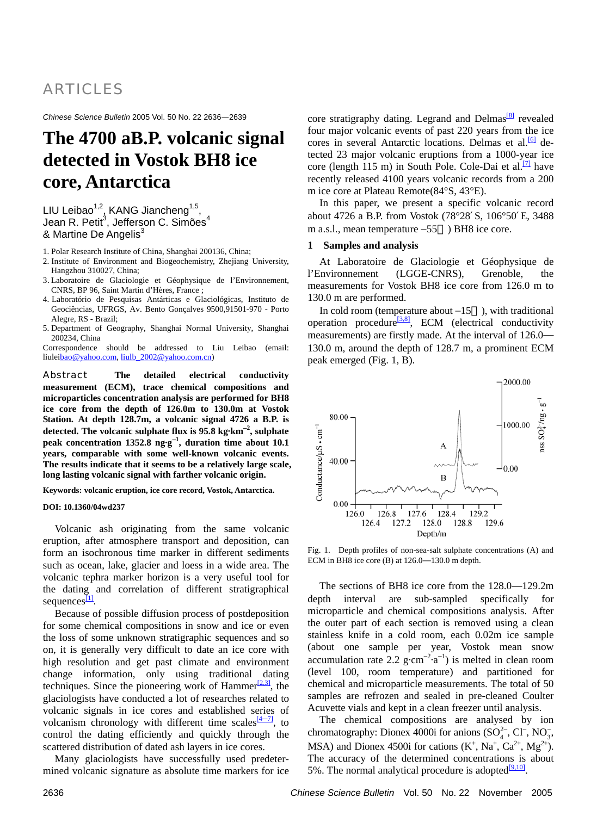# ARTICLES

*Chinese Science Bulletin* 2005 Vol. 50 No. 22 2636—2639

# **The 4700 aB.P. volcanic signal detected in Vostok BH8 ice core, Antarctica**

LIU Leibao<sup>1,2</sup>, KANG Jiancheng<sup>1,5</sup>, Jean R. Petit $^3$ , Jefferson C. Simões $^4$ & Martine De Angelis<sup>3</sup>

1. Polar Research Institute of China, Shanghai 200136, China;

- 2. Institute of Environment and Biogeochemistry, Zhejiang University, Hangzhou 310027, China;
- 3. Laboratoire de Glaciologie et Géophysique de l'Environnement, CNRS, BP 96, Saint Martin d'Hères, France ;
- 4. Laboratório de Pesquisas Antárticas e Glaciológicas, Instituto de Geociências, UFRGS, Av. Bento Gonçalves 9500,91501-970 - Porto Alegre, RS - Brazil;
- 5. Department of Geography, Shanghai Normal University, Shanghai 200234, China

Correspondence should be addressed to Liu Leibao (email: liulei[bao@yahoo.com,](mailto:bao@yahoo.com) [liulb\\_2002@yahoo.com.cn](mailto:liulb_2002@yahoo.com.cn))

Abstract **The detailed electrical conductivity measurement (ECM), trace chemical compositions and microparticles concentration analysis are performed for BH8 ice core from the depth of 126.0m to 130.0m at Vostok Station. At depth 128.7m, a volcanic signal 4726 a B.P. is detected. The volcanic sulphate flux is 95.8 kg·km**<sup>−</sup>**<sup>2</sup> , sulphate peak concentration 1352.8 ng·g**<sup>−</sup>**<sup>1</sup> , duration time about 10.1 years, comparable with some well-known volcanic events. The results indicate that it seems to be a relatively large scale, long lasting volcanic signal with farther volcanic origin.**

**Keywords: volcanic eruption, ice core record, Vostok, Antarctica.** 

#### **DOI: 10.1360/04wd237**

sequences<sup>[\[1\]](#page-3-0)</sup>. Volcanic ash originating from the same volcanic eruption, after atmosphere transport and deposition, can form an isochronous time marker in different sediments such as ocean, lake, glacier and loess in a wide area. The volcanic tephra marker horizon is a very useful tool for the dating and correlation of different stratigraphical

Because of possible diffusion process of postdeposition for some chemical compositions in snow and ice or even the loss of some unknown stratigraphic sequences and so on, it is generally very difficult to date an ice core with high resolution and get past climate and environment change information, only using traditional dating techniques. Since the pioneering work of Hammer $^{[2,3]}$ , the glaciologists have conducted a lot of researches related to volcanic signals in ice cores and established series of volcanism chronology with different time scales  $(4 \tcdot 7)$ , to control the dating efficiently and quickly through the scattered distribution of dated ash layers in ice cores.

Many glaciologists have successfully used predetermined volcanic signature as absolute time markers for ice

core stratigraphy dating. Legrand and Delmas<sup>[8]</sup> revealed four major volcanic events of past 220 years from the ice cores in several Antarctic locations. Delmas et al.<sup>[6]</sup> detected 23 major volcanic eruptions from a 1000-year ice core (length 115 m) in South Pole. Cole-Dai et al.<sup>[\[7\]](#page-3-0)</sup> have recently released 4100 years volcanic records from a 200 m ice core at Plateau Remote(84°S, 43°E).

8 about 4726 a B.P. from Vostok (78°28 S, 106°50 E, 348 m a.s.l., mean temperature –55 ) BH8 ice core. In this paper, we present a specific volcanic record

### **1 Samples and analysis**

measurements for Vostok BH8 ice core from 126.0 m to 13 0.0 m are performed. At Laboratoire de Glaciologie et Géophysique de l'Environnement (LGGE-CNRS), Grenoble, the

In cold room (temperature about  $-15$ ), with traditional operation procedure<sup>[\[3,8\]](#page-3-0)</sup>, ECM (electrical conductivity measurements) are firstly made. At the interval of 126.0 130.0 m, around the depth of 128.7 m, a prominent ECM peak emerged (Fig. 1, B).



Fig. 1. Depth profiles of non-sea-salt sulphate concentrations (A) and ECM in BH8 ice core  $(B)$  at  $126.0$  130.0 m depth.

samples are refrozen and sealed in pre-cleaned Coulter Ac uvette vials and kept in a clean freezer until analysis. The sections of BH8 ice core from the 128.0 129.2m depth interval are sub-sampled specifically for microparticle and chemical compositions analysis. After the outer part of each section is removed using a clean stainless knife in a cold room, each 0.02m ice sample (about one sample per year, Vostok mean snow accumulation rate 2.2 g⋅cm<sup>-2</sup>⋅a<sup>-1</sup>) is melted in clean room (level 100, room temperature) and partitioned for chemical and microparticle measurements. The total of 50

The accuracy of the determined concentrations is about 5%. The normal analytical procedure is adopted<sup>[\[9,10\]](#page-3-0)</sup>. The chemical compositions are analysed by ion chromatography: Dionex 4000i for anions  $(SO_4^{2-}, Cl^-, NO_3^-$ , MSA) and Dionex 4500i for cations  $(K^+$ , Na<sup>+</sup>, Ca<sup>2+</sup>, Mg<sup>2+</sup>).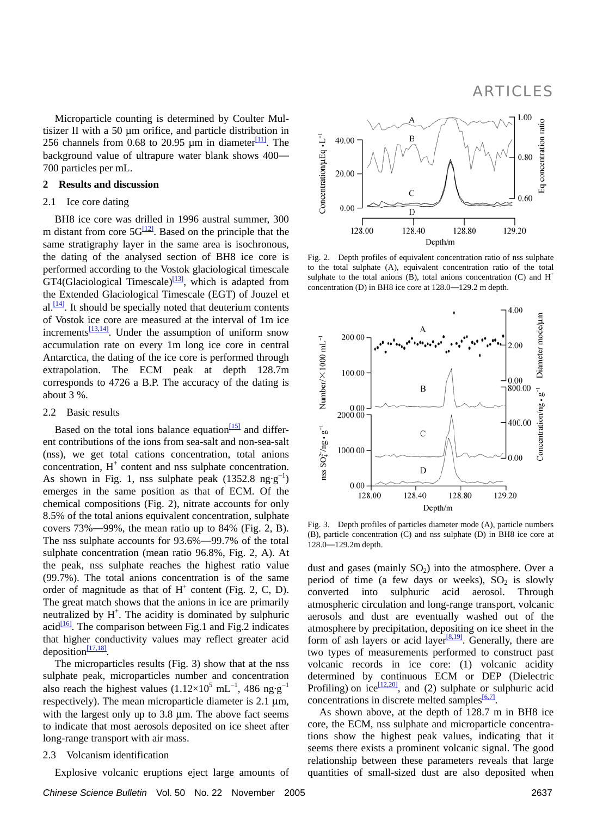ARTICLES

Microparticle counting is determined by Coulter Multisizer II with a 50 um orifice, and particle distribution in 256 channels from 0.68 to 20.95  $\mu$ m in diameter<sup>[\[11\]](#page-3-0)</sup>. The background value of u ltrapure water blank shows 400 700 particles per mL.

### **ssion 2 Results and discu**

#### 2.1 Ice core dating

BH8 ice core was drilled in 1996 austral summer, 300 m distant from core  $5G^{12}$ . Based on the principle that the same stratigraphy layer in the same area is isochronous, the dating of the analysed section of BH8 ice core is performed according to the Vostok glaciological timescale GT4(Glaciological Timescale)<sup>[13]</sup>, which is adapted from the Extended Glaciological Timescale (EGT) of Jouzel et al. $\frac{114}{4}$ . It should be specially noted that deuterium contents of Vostok ice core are measured at the interval of 1m ice increments $\frac{13,14}{2}$ . Under the assumption of uniform snow accumulation rate on every 1m long ice core in central Antarctica, the dating of the ice core is performed through extrapolation. The ECM peak at depth 128.7m corresponds to 4726 a B.P. The accuracy of the dating is about 3 %.

#### 2.2 Basic results

Based on the total ions balance equation  $\frac{15}{5}$  and different contributions of the ions from sea-salt and non-sea-salt (nss), we get total cations concentration, total anions concentration,  $H^+$  content and nss sulphate concentration. As shown in Fig. 1, nss sulphate peak  $(1352.8 \text{ ng} \cdot \text{g}^{-1})$ emerges in the same position as that of ECM. Of the chemical compositions (Fig. 2), nitrate accounts for only 8.5% of the total anions equivalent concentration, sulphate covers 73% 99%, the mean ratio up to 84% (Fig. 2, B). The nss sulphate accounts for 93.6% 99.7% of the total sulphate concentration (mean ratio 96.8%, Fig. 2, A). At the peak, nss sulphate reaches the highest ratio value (99.7%). The total anions concentration is of the same order of magnitude as that of  $H^+$  content (Fig. 2, C, D). The great match shows that the anions in ice are primarily neutralized by  $H^+$ . The acidity is dominated by sulphuric acid $\frac{16}{6}$ . The comparison between Fig.1 and Fig.2 indicates that higher conductivity values may reflect greater acid deposition $\frac{[17,18]}{[17,18]}$ .

The microparticles results (Fig. 3) show that at the nss sulphate peak, microparticles number and concentration also reach the highest values  $(1.12\times10^5 \text{ mL}^{-1}, 486 \text{ ng} \cdot \text{g}^{-1})$ respectively). The mean microparticle diameter is  $2.1 \mu m$ , with the largest only up to 3.8 µm. The above fact seems to indicate that most aerosols deposited on ice sheet after long-range transport with air mass.

## 2.3 Volcanism identification

Explosive volcanic eruptions eject large amounts of

*Chinese Science Bulletin* Vol. 50 No. 22 November 2005 2637



Fig. 2. Depth profiles of equivalent concentration ratio of nss sulphate to the total sulphate (A), equivalent concentration ratio of the total sulphate to the total anions (B), total anions concentration (C) and  $H^+$ concentration (D) in BH8 ice core at 128.0 129.2 m depth.



Fig. 3. Depth profiles of particles diameter mode (A), particle numbers (B), particle concentration (C) and nss sulphate (D) in BH8 ice core at 128.0 129.2m depth.

dust and gases (mainly  $SO_2$ ) into the atmosphere. Over a period of time (a few days or weeks),  $SO_2$  is slowly converted into sulphuric acid aerosol. Through atmospheric circulation and long-range transport, volcanic aerosols and dust are eventually washed out of the atmosphere by precipitation, depositing on ice sheet in the form of ash layers or acid layer $\frac{[8,19]}{[8,19]}$ . Generally, there are two types of measurements performed to construct past volcanic records in ice core: (1) volcanic acidity determined by continuous ECM or DEP (Dielectric Profiling) on ice  $\frac{[12,20]}{[12,20]}$ , and (2) sulphate or sulphuric acid concentrations in discrete melted samples  $\frac{6,7]}{6}$ .

As shown above, at the depth of 128.7 m in BH8 ice core, the ECM, nss sulphate and microparticle concentrations show the highest peak values, indicating that it seems there exists a prominent volcanic signal. The good relationship between these parameters reveals that large quantities of small-sized dust are also deposited when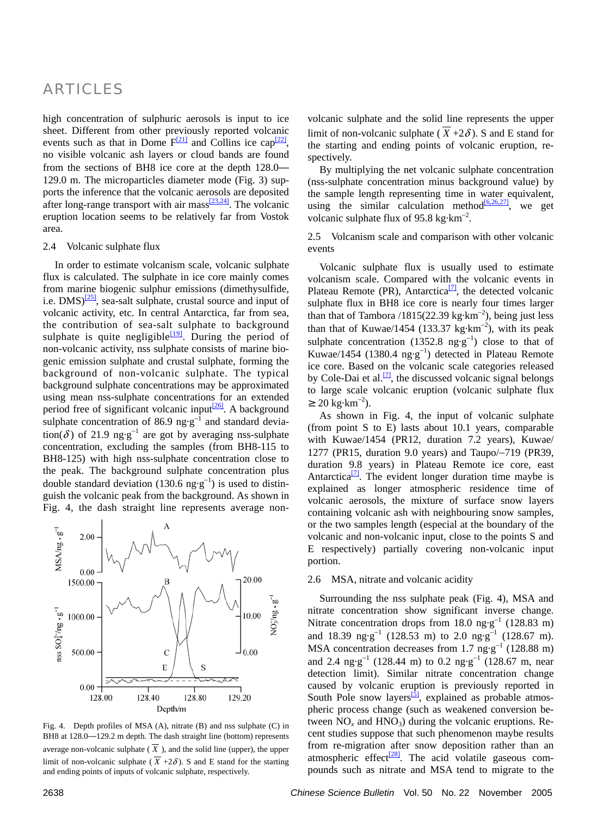# ARTICLES

high concentration of sulphuric aerosols is input to ice sheet. Different from other previously reported volcanic events such as that in Dome  $F^{[21]}$  $F^{[21]}$  $F^{[21]}$  and Collins ice cap<sup>[22]</sup>, no visible volcanic ash layers or cloud bands are found from the sections of BH8 ice core at the depth 128.0 129.0 m. The microparticles diameter mode (Fig. 3) supports the inference that the volcanic aerosols are deposited after long-range transport with air mass  $\frac{[23,24]}{]}$  $\frac{[23,24]}{]}$  $\frac{[23,24]}{]}$ . The volcanic eruption location seems to be relatively far from Vostok area.

#### 2.4 Volcanic sulphate flux

In order to estimate volcanism scale, volcanic sulphate flux is calculated. The sulphate in ice core mainly comes from marine biogenic sulphur emissions (dimethysulfide, i.e.  $DMS$ <sup>[\[25\]](#page-3-0)</sup>, sea-salt sulphate, crustal source and input of volcanic activity, etc. In central Antarctica, far from sea, the contribution of sea-salt sulphate to background sulphate is quite negligible<sup>[19]</sup>. During the period of non-volcanic activity, nss sulphate consists of marine biogenic emission sulphate and crustal sulphate, forming the background of non-volcanic sulphate. The typical background sulphate concentrations may be approximated using mean nss-sulphate concentrations for an extended period free of significant volcanic input $^{26}$ . A background sulphate concentration of 86.9 ng⋅g<sup>-1</sup> and standard deviation( $\delta$ ) of 21.9 ng·g<sup>-1</sup> are got by averaging nss-sulphate concentration, excluding the samples (from BH8-115 to BH8-125) with high nss-sulphate concentration close to the peak. The background sulphate concentration plus double standard deviation (130.6 ng⋅g<sup>-1</sup>) is used to distinguish the volcanic peak from the background. As shown in Fig. 4, the dash straight line represents average non-



Fig. 4. Depth profiles of MSA (A), nitrate (B) and nss sulphate (C) in BH8 at 128.0 129.2 m depth. The dash straight line (bottom) represents average non-volcanic sulphate  $(X)$ , and the solid line (upper), the upper limit of non-volcanic sulphate ( $\overline{X}$  +2 $\delta$ ). S and E stand for the starting and ending points of inputs of volcanic sulphate, respectively.

volcanic sulphate and the solid line represents the upper limit of non-volcanic sulphate ( $\overline{X}$  +2 $\delta$ ). S and E stand for the starting and ending points of volcanic eruption, respectively.

By multiplying the net volcanic sulphate concentration (nss-sulphate concentration minus background value) by the sample length representing time in water equivalent, using the similar calculation method $\frac{[6,26,27]}{]}$ , we get volcanic sulphate flux of 95.8 kg⋅km<sup>-2</sup>.

2.5 Volcanism scale and comparison with other volcanic events

Volcanic sulphate flux is usually used to estimate volcanism scale. Compared with the volcanic events in Plateau Remote (PR), Antarctica $\frac{[7]}{[7]}$ , the detected volcanic sulphate flux in BH8 ice core is nearly four times larger than that of Tambora  $/1815(22.39 \text{ kg} \cdot \text{km}^{-2})$ , being just less than that of Kuwae/1454 (133.37 kg⋅km<sup>-2</sup>), with its peak sulphate concentration (1352.8 ng⋅g<sup>-1</sup>) close to that of Kuwae/1454 (1380.4 ng·g<sup>−</sup><sup>1</sup> ) detected in Plateau Remote ice core. Based on the volcanic scale categories released by Cole-Dai et al.<sup>[\[7\]](#page-3-0)</sup>, the discussed volcanic signal belongs to large scale volcanic eruption (volcanic sulphate flux  $20 \text{ kg} \cdot \text{km}^{-2}$ ).

As shown in Fig. 4, the input of volcanic sulphate (from point S to E) lasts about 10.1 years, comparable with Kuwae/1454 (PR12, duration 7.2 years), Kuwae/ 1277 (PR15, duration 9.0 years) and Taupo/−719 (PR39, duration 9.8 years) in Plateau Remote ice core, east Antarctica $^{[7]}$ . The evident longer duration time maybe is explained as longer atmospheric residence time of volcanic aerosols, the mixture of surface snow layers containing volcanic ash with neighbouring snow samples, or the two samples length (especial at the boundary of the volcanic and non-volcanic input, close to the points S and E respectively) partially covering non-volcanic input portion.

## 2.6 MSA, nitrate and volcanic acidity

Surrounding the nss sulphate peak (Fig. 4), MSA and nitrate concentration show significant inverse change. Nitrate concentration drops from 18.0 ng⋅g<sup>-1</sup> (128.83 m) and 18.39 ng⋅g<sup>-1</sup> (128.53 m) to 2.0 ng⋅g<sup>-1</sup> (128.67 m). MSA concentration decreases from 1.7 ng·g<sup>-1</sup> (128.88 m) and 2.4 ng·g<sup>-1</sup> (128.44 m) to 0.2 ng·g<sup>-1</sup> (128.67 m, near detection limit). Similar nitrate concentration change caused by volcanic eruption is previously reported in South Pole snow layers $\frac{5}{3}$ , explained as probable atmospheric process change (such as weakened conversion between  $NO<sub>x</sub>$  and  $HNO<sub>3</sub>$ ) during the volcanic eruptions. Recent studies suppose that such phenomenon maybe results from re-migration after snow deposition rather than an atmospheric effect $\frac{[28]}{]}$ . The acid volatile gaseous compounds such as nitrate and MSA tend to migrate to the